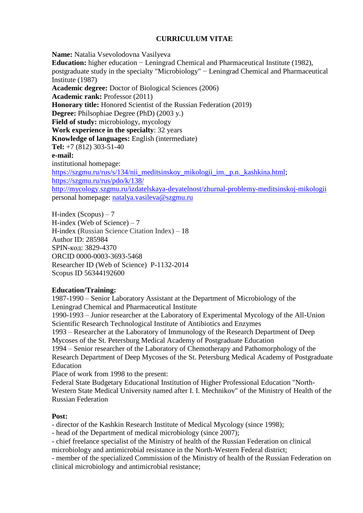# **CURRICULUM VITAE**

**Name:** Natalia Vsevolodovna Vasilyeva **Education:** higher education − Leningrad Chemical and Pharmaceutical Institute (1982), postgraduate study in the specialty "Microbiology" − Leningrad Chemical and Pharmaceutical Institute (1987) **Academic degree:** Doctor of Biological Sciences (2006) **Academic rank:** Professor (2011) **Honorary title:** Honored Scientist of the Russian Federation (2019) **Degree:** Philsophiae Degree (PhD) (2003 y.) **Field of study:** microbiology, mycology **Work experience in the specialty**: 32 years **Knowledge of languages:** English (intermediate) **Tel:** +7 (812) 303-51-40 **e-mail:** institutional homepage: [https://szgmu.ru/rus/s/134/nii\\_meditsinskoy\\_mikologii\\_im.\\_p.n.\\_kashkina.html;](https://szgmu.ru/rus/s/134/nii_meditsinskoy_mikologii_im._p.n._kashkina.html) <https://szgmu.ru/rus/pdo/k/138/> <http://mycology.szgmu.ru/izdatelskaya-deyatelnost/zhurnal-problemy-meditsinskoj-mikologii> personal homepage: [natalya.vasileva@szgmu.ru](mailto:natalya.vasileva@szgmu.ru)

H-index  $(Scopus) - 7$ H-index (Web of Science) – 7 H-index (Russian Science Citation Index) – 18 Author ID: 285984 SPIN-код: 3829-4370 ORCID 0000-0003-3693-5468 Researcher ID (Web of Science) P-1132-2014 Scopus ID 56344192600

## **Education/Training:**

1987-1990 – Senior Laboratory Assistant at the Department of Microbiology of the Leningrad Chemical and Pharmaceutical Institute

1990-1993 – Junior researcher at the Laboratory of Experimental Mycology of the All-Union Scientific Research Technological Institute of Antibiotics and Enzymes

1993 – Researcher at the Laboratory of Immunology of the Research Department of Deep Mycoses of the St. Petersburg Medical Academy of Postgraduate Education

1994 – Senior researcher of the Laboratory of Chemotherapy and Pathomorphology of the Research Department of Deep Mycoses of the St. Petersburg Medical Academy of Postgraduate Education

Place of work from 1998 to the present:

Federal State Budgetary Educational Institution of Higher Professional Education "North-Western State Medical University named after I. I. Mechnikov" of the Ministry of Health of the Russian Federation

## **Post:**

- director of the Kashkin Research Institute of Medical Mycology (since 1998);

- head of the Department of medical microbiology (since 2007);

- chief freelance specialist of the Ministry of health of the Russian Federation on clinical microbiology and antimicrobial resistance in the North-Western Federal district;

- member of the specialized Commission of the Ministry of health of the Russian Federation on clinical microbiology and antimicrobial resistance;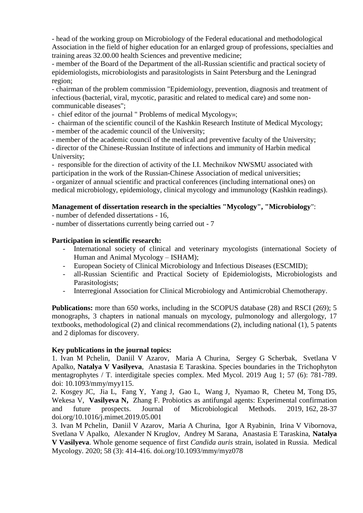- head of the working group on Microbiology of the Federal educational and methodological Association in the field of higher education for an enlarged group of professions, specialties and training areas 32.00.00 health Sciences and preventive medicine;

- member of the Board of the Department of the all-Russian scientific and practical society of epidemiologists, microbiologists and parasitologists in Saint Petersburg and the Leningrad region;

- chairman of the problem commission "Epidemiology, prevention, diagnosis and treatment of infectious (bacterial, viral, mycotic, parasitic and related to medical care) and some noncommunicable diseases";

- chief editor of the journal " Problems of medical Mycology»;

- chairman of the scientific council of the Kashkin Research Institute of Medical Mycology;

- member of the academic council of the University;

- member of the academic council of the medical and preventive faculty of the University;

- director of the Chinese-Russian Institute of infections and immunity of Harbin medical University;

- responsible for the direction of activity of the I.I. Mechnikov NWSMU associated with participation in the work of the Russian-Chinese Association of medical universities; - organizer of annual scientific and practical conferences (including international ones) on medical microbiology, epidemiology, clinical mycology and immunology (Kashkin readings).

## **Management of dissertation research in the specialties "Mycology", "Microbiology**":

- number of defended dissertations - 16,

- number of dissertations currently being carried out - 7

## **Participation in scientific research:**

- International society of clinical and veterinary mycologists (international Society of Human and Animal Mycology – ISHAM);
- European Society of Clinical Microbiology and Infectious Diseases (ESCMID);
- all-Russian Scientific and Practical Society of Epidemiologists, Microbiologists and Parasitologists;
- Interregional Association for Clinical Microbiology and Antimicrobial Chemotherapy.

**Publications:** more than 650 works, including in the SCOPUS database (28) and RSCI (269); 5 monographs, 3 chapters in national manuals on mycology, pulmonology and allergology, 17 textbooks, methodological (2) and clinical recommendations (2), including national (1), 5 patents and 2 diplomas for discovery.

#### **Key publications in the journal topics:**

1. Ivan M Pchelin, Daniil V Azarov, Maria A Churina, Sergey G Scherbak, Svetlana V Apalko, **Natalya V Vasilyeva**, Anastasia E Taraskina. Species boundaries in the Trichophyton mentagrophytes / T. interdigitale species complex. Med Mycol. 2019 Aug 1; 57 (6): 781-789. doi: 10.1093/mmy/myy115.

2. Kosgey JC, Jia L, Fang Y, Yang J, Gao L, Wang J, Nyamao R, Cheteu M, Tong D5, Wekesa V, **Vasilyeva N,** Zhang F. Probiotics as antifungal agents: Experimental confirmation and future prospects. Journal of Microbiological Methods. 2019, 162, 28-37 doi.org/10.1016/j.mimet.2019.05.001

3. Ivan M Pchelin, Daniil V Azarov, Maria A Churina, Igor A Ryabinin, Irina V Vibornova, Svetlana V Apalko, Alexander N Kruglov, Andrey M Sarana, Anastasia E Taraskina, **Natalya V Vasilyeva**. Whole genome sequence of first *Candida auris* strain, isolated in Russia. Medical Mycology. 2020; 58 (3): 414-416. doi.org/10.1093/mmy/myz078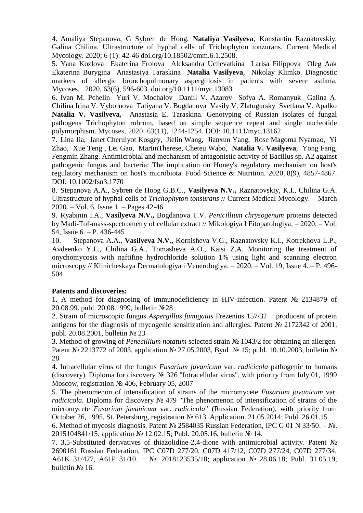4. Amaliya Stepanova, G Sybren de Hoog, **Nataliya Vasilyeva**, Konstantin Raznatovskiy, Galina Chilina. Ultrastructure of hyphal cells of Trichophyton tonzurans. Current Medical Mycology. 2020; 6 (1): 42-46 doi.org/10.18502/cmm.6.1.2508.

5. Yana Kozlova Ekaterina Frolova Aleksandra Uchevatkina Larisa Filippova Oleg Aak Ekaterina Burygina Anastasiya Taraskina **Natalia Vasilyeva**, Nikolay Klimko. Diagnostic markers of allergic bronchopulmonary aspergillosis in patients with severe asthma. Mycoses. 2020, 63(6), 596-603. doi.org/10.1111/myc.13083

6. Ivan M. Pchelin Yuri V. Mochalov Daniil V. Azarov Sofya A. Romanyuk Galina A. Chilina Irina V. Vybornova Tatiyana V. Bogdanova Vasily V. Zlatogursky Svetlana V. Apalko **Natalia V. Vasilyeva,** Anastasia E. Taraskina. Genotyping of Russian isolates of fungal pathogens Trichophyton rubrum, based on simple sequence repeat and single nucleotide polymorphism. Mycoses, 2020, 63(11), 1244-1254. DOI: 10.1111/myc.13162

7. Lina Jia, Janet Cheruiyot Kosgey, Jielin Wang, Jianxun Yang, Rose Magoma Nyamao, Yi Zhao, Xue Teng , Lei Gao, MartinTherese, Cheteu Wabo, **Natalia V. Vasilyeva**, Yong Fang, Fengmin Zhang. Antimicrobial and mechanism of antagonistic activity of Bacillus sp. A2 against pathogenic fungus and bacteria: The implication on Honey's regulatory mechanism on host's regulatory mechanism on host's microbiota. Food Science & Nutrition. 2020, 8(9), 4857-4867. DOI: 10.1002/fsn3.1770

8. Stepanova A.A., Sybren de Hoog G.B.C., **Vasilyeva N.V.,** Raznatovskiy, K.I., Chilina G.A. Ultrastructure of hyphal cells of *Trichophyton tonsurans* // Current Medical Mycology. – March 2020. – Vol. 6, Issue 1. – Pages 42-46

9. Ryabinin I.A., **Vasilyeva N.V.,** Bogdanova T.V. *Penicillium chrysogenum* proteins detected by Madi-Tof-mass-spectrometry of cellular extract // Mikologiya I Fitopatologiya. – 2020. – Vol. 54, Issue 6. – P. 436-445

10. Stepanova A.A., **Vasilyeva N.V.,** Kornisheva V.G., Raznatovsky K.I., Kotrekhova L.P., Avdeenko Y.L., Chilina G.A., Tomasheva A.O., Kaisi Z.A. Monitoring the treatment of onychomycosis with naftifine hydrochloride solution 1% using light and scanning electron microscopy // Klinicheskaya Dermatologiya i Venerologiya. – 2020. – Vol. 19, Issue 4. – P. 496- 504

#### **Patents and discoveries:**

1. A method for diagnosing of immunodeficiency in HIV-infection. Patent № 2134879 of 20.08.99. publ. 20.08.1999, bulletin №28

2. Strain of microscopic fungus *Aspergillus fumigatus* Frezenius 157/32 − producent of protein antigens for the diagnosis of mycogenic sensitization and allergies. Patent № 2172342 of 2001, publ. 20.08.2001, bulletin № 23

3. Method of growing of *Penecillium notatum* selected strain № 1043/2 for obtaining an allergen. Patent № 2213772 of 2003, application № 27.05.2003, Byul № 15; publ. 10.10.2003, bulletin № 28

4. Intracellular virus of the fungus *Fusarium javanicum* var. *radicicola* pathogenic to humans (discovery). Diploma for discovery № 326 "Intracellular virus", with priority from July 01, 1999 Moscow, registration № 406, February 05, 2007

5. The phenomenon of intensification of strains of the micromycete *Fusarium javanicum* var. *radicicola*. Diploma for discovery № 479 "The phenomenon of intensification of strains of the micromycete *Fusarium javanicum* var. *radicicola*" (Russian Federation), with priority from October 26, 1995, St. Petersburg, registration № 613. Application. 21.05.2014; Publ. 26.01.15

6. Method of mycosis diagnosis. Patent № 2584035 Russian Federation, IPC G 01 N 33/50. – №. 2015104841/15; application № 12.02.15; Publ. 20.05.16, bulletin № 14.

7. 3,5-Substituted derivatives of thiazolidine-2,4-dione with antimicrobial activity. Patent № 2690161 Russian Federation, IPC C07D 277/20, C07D 417/12, C07D 277/24, C07D 277/34, A61K 31/427, A61P 31/10. − №. 2018123535/18; application № 28.06.18; Publ. 31.05.19, bulletin № 16.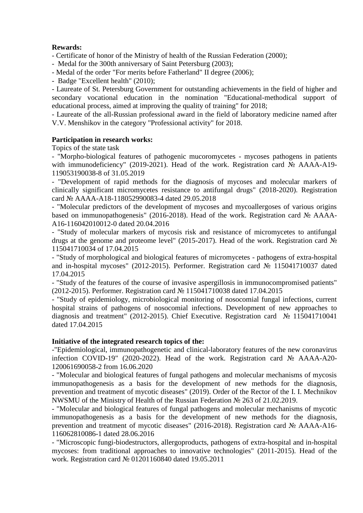## **Rewards:**

- Certificate of honor of the Ministry of health of the Russian Federation (2000);

- Medal for the 300th anniversary of Saint Petersburg (2003);

- Medal of the order "For merits before Fatherland" II degree (2006);

- Badge "Excellent health" (2010);

- Laureate of St. Petersburg Government for outstanding achievements in the field of higher and secondary vocational education in the nomination "Educational-methodical support of educational process, aimed at improving the quality of training" for 2018;

- Laureate of the all-Russian professional award in the field of laboratory medicine named after V.V. Menshikov in the category "Professional activity" for 2018.

## **Participation in research works:**

Topics of the state task

- "Morpho-biological features of pathogenic mucoromycetes - mycoses pathogens in patients with immunodeficiency" (2019-2021). Head of the work. Registration card № AAAA-A19- 119053190038-8 of 31.05.2019

- "Development of rapid methods for the diagnosis of mycoses and molecular markers of clinically significant micromycetes resistance to antifungal drugs" (2018-2020). Registration card № AAAA-A18-118052990083-4 dated 29.05.2018

- "Molecular predictors of the development of mycoses and mycoallergoses of various origins based on immunopathogenesis" (2016-2018). Head of the work. Registration card № AAAA-A16-116042010012-0 dated 20.04.2016

- "Study of molecular markers of mycosis risk and resistance of micromycetes to antifungal drugs at the genome and proteome level" (2015-2017). Head of the work. Registration card № 115041710034 of 17.04.2015

- "Study of morphological and biological features of micromycetes - pathogens of extra-hospital and in-hospital mycoses" (2012-2015). Performer. Registration card № 115041710037 dated 17.04.2015

- "Study of the features of the course of invasive aspergillosis in immunocompromised patients" (2012-2015). Performer. Registration card № 115041710038 dated 17.04.2015

- "Study of epidemiology, microbiological monitoring of nosocomial fungal infections, current hospital strains of pathogens of nosocomial infections. Development of new approaches to diagnosis and treatment" (2012-2015). Chief Executive. Registration card № 115041710041 dated 17.04.2015

#### **Initiative of the integrated research topics of the:**

-"Epidemiological, immunopathogenetic and clinical-laboratory features of the new coronavirus infection COVID-19" (2020-2022). Head of the work. Registration card № AAAA-A20- 120061690058-2 from 16.06.2020

- "Molecular and biological features of fungal pathogens and molecular mechanisms of mycosis immunopathogenesis as a basis for the development of new methods for the diagnosis, prevention and treatment of mycotic diseases" (2019). Order of the Rector of the I. I. Mechnikov NWSMU of the Ministry of Health of the Russian Federation № 263 of 21.02.2019.

- "Molecular and biological features of fungal pathogens and molecular mechanisms of mycotic immunopathogenesis as a basis for the development of new methods for the diagnosis, prevention and treatment of mycotic diseases" (2016-2018). Registration card № AAAA-A16- 116062810086-1 dated 28.06.2016

- "Microscopic fungi-biodestructors, allergoproducts, pathogens of extra-hospital and in-hospital mycoses: from traditional approaches to innovative technologies" (2011-2015). Head of the work. Registration card № 01201160840 dated 19.05.2011